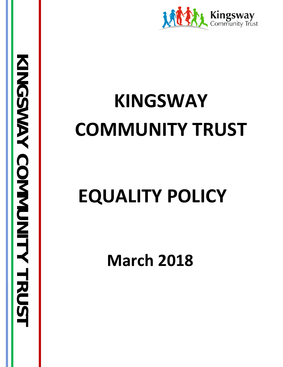

# **KINGSWAY COMMUNITY TRUST**

# **EQUALITY POLICY**

**March 2018**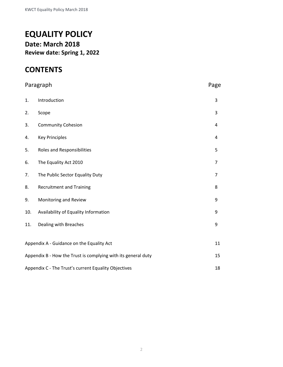# **EQUALITY POLICY Date: March 2018 Review date: Spring 1, 2022**

## **CONTENTS**

| Paragraph                                                           |                                           | Page           |
|---------------------------------------------------------------------|-------------------------------------------|----------------|
| 1.                                                                  | Introduction                              | 3              |
| 2.                                                                  | Scope                                     | 3              |
| 3.                                                                  | <b>Community Cohesion</b>                 | 4              |
| 4.                                                                  | <b>Key Principles</b>                     | 4              |
| 5.                                                                  | <b>Roles and Responsibilities</b>         | 5              |
| 6.                                                                  | The Equality Act 2010                     | $\overline{7}$ |
| 7.                                                                  | The Public Sector Equality Duty           | $\overline{7}$ |
| 8.                                                                  | <b>Recruitment and Training</b>           | 8              |
| 9.                                                                  | Monitoring and Review                     | 9              |
| 10.                                                                 | Availability of Equality Information      | 9              |
| 11.                                                                 | Dealing with Breaches                     | 9              |
|                                                                     |                                           | 11             |
|                                                                     | Appendix A - Guidance on the Equality Act |                |
| Appendix B - How the Trust is complying with its general duty<br>15 |                                           |                |
| Appendix C - The Trust's current Equality Objectives<br>18          |                                           |                |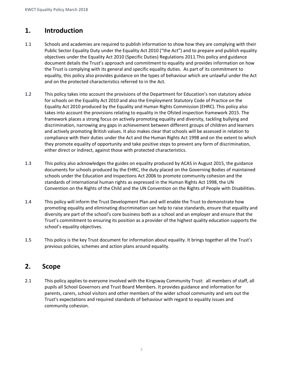## **1. Introduction**

- 1.1 Schools and academies are required to publish information to show how they are complying with their Public Sector Equality Duty under the Equality Act 2010 ("the Act") and to prepare and publish equality objectives under the Equality Act 2010 (Specific Duties) Regulations 2011.This policy and guidance document details the Trust's approach and commitment to equality and provides information on how the Trust is complying with its general and specific equality duties. As part of its commitment to equality, this policy also provides guidance on the types of behaviour which are unlawful under the Act and on the protected characteristics referred to in the Act.
- 1.2 This policy takes into account the provisions of the Department for Education's non statutory advice for schools on the Equality Act 2010 and also the Employment Statutory Code of Practice on the Equality Act 2010 produced by the Equality and Human Rights Commission (EHRC). This policy also takes into account the provisions relating to equality in the Ofsted inspection framework 2015. The framework places a strong focus on actively promoting equality and diversity, tackling bullying and discrimination, narrowing any gaps in achievement between different groups of children and learners and actively promoting British values. It also makes clear that schools will be assessed in relation to compliance with their duties under the Act and the Human Rights Act 1998 and on the extent to which they promote equality of opportunity and take positive steps to prevent any form of discrimination, either direct or indirect, against those with protected characteristics.
- 1.3 This policy also acknowledges the guides on equality produced by ACAS in August 2015, the guidance documents for schools produced by the EHRC, the duty placed on the Governing Bodies of maintained schools under the Education and Inspections Act 2006 to promote community cohesion and the standards of international human rights as expressed in the Human Rights Act 1998, the UN Convention on the Rights of the Child and the UN Convention on the Rights of People with Disabilities.
- 1.4 This policy will inform the Trust Development Plan and will enable the Trust to demonstrate how promoting equality and eliminating discrimination can help to raise standards, ensure that equality and diversity are part of the school's core business both as a school and an employer and ensure that the Trust's commitment to ensuring its position as a provider of the highest quality education supports the school's equality objectives.
- 1.5 This policy is the key Trust document for information about equality. It brings together all the Trust's previous policies, schemes and action plans around equality.

## **2. Scope**

2.1 This policy applies to everyone involved with the Kingsway Community Trust: all members of staff, all pupils all School Governors and Trust Board Members. It provides guidance and information for parents, carers, school visitors and other members of the wider school community and sets out the Trust's expectations and required standards of behaviour with regard to equality issues and community cohesion.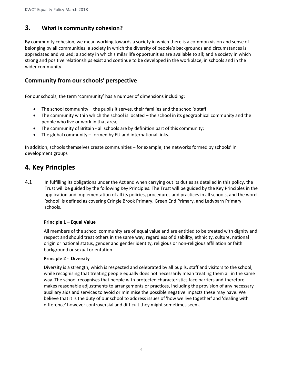## **3. What is community cohesion?**

By community cohesion, we mean working towards a society in which there is a common vision and sense of belonging by all communities; a society in which the diversity of people's backgrounds and circumstances is appreciated and valued; a society in which similar life opportunities are available to all; and a society in which strong and positive relationships exist and continue to be developed in the workplace, in schools and in the wider community.

### **Community from our schools' perspective**

For our schools, the term 'community' has a number of dimensions including:

- The school community the pupils it serves, their families and the school's staff;
- The community within which the school is located the school in its geographical community and the people who live or work in that area;
- The community of Britain all schools are by definition part of this community;
- The global community formed by EU and international links.

In addition, schools themselves create communities – for example, the networks formed by schools' in development groups

## **4. Key Principles**

4.1 In fulfilling its obligations under the Act and when carrying out its duties as detailed in this policy, the Trust will be guided by the following Key Principles. The Trust will be guided by the Key Principles in the application and implementation of all its policies, procedures and practices in all schools, and the word 'school' is defined as covering Cringle Brook Primary, Green End Primary, and Ladybarn Primary schools.

#### **Principle 1 – Equal Value**

All members of the school community are of equal value and are entitled to be treated with dignity and respect and should treat others in the same way, regardless of disability, ethnicity, culture, national origin or national status, gender and gender identity, religious or non-religious affiliation or faith background or sexual orientation.

#### **Principle 2 - Diversity**

Diversity is a strength, which is respected and celebrated by all pupils, staff and visitors to the school, while recognising that treating people equally does not necessarily mean treating them all in the same way. The school recognises that people with protected characteristics face barriers and therefore makes reasonable adjustments to arrangements or practices, including the provision of any necessary auxiliary aids and services to avoid or minimise the possible negative impacts these may have. We believe that it is the duty of our school to address issues of 'how we live together' and 'dealing with difference' however controversial and difficult they might sometimes seem.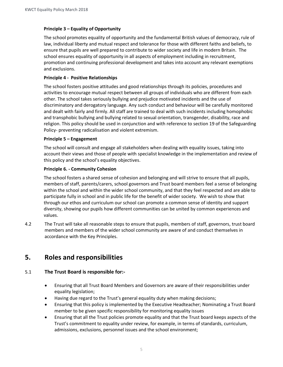#### **Principle 3 – Equality of Opportunity**

The school promotes equality of opportunity and the fundamental British values of democracy, rule of law, individual liberty and mutual respect and tolerance for those with different faiths and beliefs, to ensure that pupils are well prepared to contribute to wider society and life in modern Britain. The school ensures equality of opportunity in all aspects of employment including in recruitment, promotion and continuing professional development and takes into account any relevant exemptions and exclusions.

#### **Principle 4 - Positive Relationships**

The school fosters positive attitudes and good relationships through its policies, procedures and activities to encourage mutual respect between all groups of individuals who are different from each other. The school takes seriously bullying and prejudice motivated incidents and the use of discriminatory and derogatory language. Any such conduct and behaviour will be carefully monitored and dealt with fairly and firmly. All staff are trained to deal with such incidents including homophobic and transphobic bullying and bullying related to sexual orientation, transgender, disability, race and religion. This policy should be used in conjunction and with reference to section 19 of the Safeguarding Policy- preventing radicalisation and violent extremism.

#### **Principle 5 – Engagement**

The school will consult and engage all stakeholders when dealing with equality issues, taking into account their views and those of people with specialist knowledge in the implementation and review of this policy and the school's equality objectives.

#### **Principle 6. - Community Cohesion**

The school fosters a shared sense of cohesion and belonging and will strive to ensure that all pupils, members of staff, parents/carers, school governors and Trust board members feel a sense of belonging within the school and within the wider school community, and that they feel respected and are able to participate fully in school and in public life for the benefit of wider society. We wish to show that through our ethos and curriculum our school can promote a common sense of identity and support diversity, showing our pupils how different communities can be united by common experiences and values.

4.2 The Trust will take all reasonable steps to ensure that pupils, members of staff, governors, trust board members and members of the wider school community are aware of and conduct themselves in accordance with the Key Principles.

## **5. Roles and responsibilities**

#### 5.1 **The Trust Board is responsible for:-**

- Ensuring that all Trust Board Members and Governors are aware of their responsibilities under equality legislation;
- Having due regard to the Trust's general equality duty when making decisions;
- Ensuring that this policy is implemented by the Executive Headteacher; Nominating a Trust Board member to be given specific responsibility for monitoring equality issues
- Ensuring that all the Trust policies promote equality and that the Trust board keeps aspects of the Trust's commitment to equality under review, for example, in terms of standards, curriculum, admissions, exclusions, personnel issues and the school environment;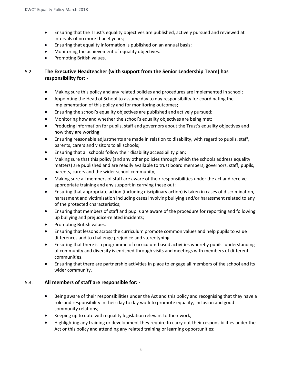- Ensuring that the Trust's equality objectives are published, actively pursued and reviewed at intervals of no more than 4 years;
- Ensuring that equality information is published on an annual basis;
- Monitoring the achievement of equality objectives.
- Promoting British values.

#### 5.2 **The Executive Headteacher (with support from the Senior Leadership Team) has responsibility for: -**

- Making sure this policy and any related policies and procedures are implemented in school;
- Appointing the Head of School to assume day to day responsibility for coordinating the implementation of this policy and for monitoring outcomes;
- Ensuring the school's equality objectives are published and actively pursued;
- Monitoring how and whether the school's equality objectives are being met;
- Producing information for pupils, staff and governors about the Trust's equality objectives and how they are working;
- Ensuring reasonable adjustments are made in relation to disability, with regard to pupils, staff, parents, carers and visitors to all schools;
- Ensuring that all schools follow their disability accessibility plan;
- Making sure that this policy (and any other policies through which the schools address equality matters) are published and are readily available to trust board members, governors, staff, pupils, parents, carers and the wider school community;
- Making sure all members of staff are aware of their responsibilities under the act and receive appropriate training and any support in carrying these out;
- Ensuring that appropriate action (including disciplinary action) is taken in cases of discrimination, harassment and victimisation including cases involving bullying and/or harassment related to any of the protected characteristics;
- Ensuring that members of staff and pupils are aware of the procedure for reporting and following up bullying and prejudice-related incidents;
- Promoting British values.
- Ensuring that lessons across the curriculum promote common values and help pupils to value differences and to challenge prejudice and stereotyping.
- Ensuring that there is a programme of curriculum-based activities whereby pupils' understanding of community and diversity is enriched through visits and meetings with members of different communities.
- Ensuring that there are partnership activities in place to engage all members of the school and its wider community.

#### 5.3. **All members of staff are responsible for: -**

- Being aware of their responsibilities under the Act and this policy and recognising that they have a role and responsibility in their day to day work to promote equality, inclusion and good community relations;
- Keeping up to date with equality legislation relevant to their work;
- Highlighting any training or development they require to carry out their responsibilities under the Act or this policy and attending any related training or learning opportunities;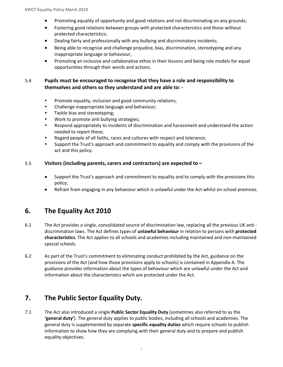- Promoting equality of opportunity and good relations and not discriminating on any grounds;
- Fostering good relations between groups with protected characteristics and those without protected characteristics;
- Dealing fairly and professionally with any bullying and discriminatory incidents;
- Being able to recognise and challenge prejudice, bias, discrimination, stereotyping and any inappropriate language or behaviour;
- Promoting an inclusive and collaborative ethos in their lessons and being role models for equal opportunities through their words and actions.

#### 5.4 **Pupils must be encouraged to recognise that they have a role and responsibility to themselves and others so they understand and are able to: -**

- Promote equality, inclusion and good community relations;
- Challenge inappropriate language and behaviour;
- Tackle bias and stereotyping;
- Work to promote anti bullying strategies;
- Respond appropriately to incidents of discrimination and harassment and understand the action needed to report these;
- Regard people of all faiths, races and cultures with respect and tolerance;
- Support the Trust's approach and commitment to equality and comply with the provisions of the act and this policy.

#### 5.5 **Visitors (including parents, carers and contractors) are expected to –**

- Support the Trust's approach and commitment to equality and to comply with the provisions this policy;
- Refrain from engaging in any behaviour which is unlawful under the Act whilst on school premises.

## **6. The Equality Act 2010**

- 6.1 The Act provides a single, consolidated source of discrimination law, replacing all the previous UK anti discrimination laws. The Act defines types of **unlawful behaviour** in relation to persons with **protected characteristics**. The Act applies to all schools and academies including maintained and non-maintained special schools.
- 6.2 As part of the Trust's commitment to eliminating conduct prohibited by the Act, guidance on the provisions of the Act (and how those provisions apply to schools) is contained in Appendix A. The guidance provides information about the types of behaviour which are unlawful under the Act and information about the characteristics which are protected under the Act.

## **7. The Public Sector Equality Duty.**

7.1 The Act also introduced a single **Public Sector Equality Duty** (sometimes also referred to as the **'general duty'**). The general duty applies to public bodies, including all schools and academies. The general duty is supplemented by separate **specific equality duties** which require schools to publish information to show how they are complying with their general duty and to prepare and publish equality objectives.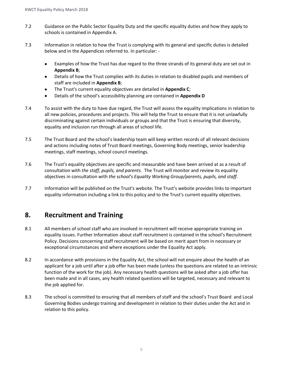- 7.2 Guidance on the Public Sector Equality Duty and the specific equality duties and how they apply to schools is contained in Appendix A.
- 7.3 Information in relation to how the Trust is complying with its general and specific duties is detailed below and in the Appendices referred to. In particular: -
	- Examples of how the Trust has due regard to the three strands of its general duty are set out in **Appendix B**;
	- Details of how the Trust complies with its duties in relation to disabled pupils and members of staff are included in **Appendix B**;
	- The Trust's current equality objectives are detailed in **Appendix C**;
	- Details of the school's accessibility planning are contained in **Appendix D**
- 7.4 To assist with the duty to have due regard, the Trust will assess the equality implications in relation to all new policies, procedures and projects. This will help the Trust to ensure that it is not unlawfully discriminating against certain individuals or groups and that the Trust is ensuring that diversity, equality and inclusion run through all areas of school life.
- 7.5 The Trust Board and the school's leadership team will keep written records of all relevant decisions and actions including notes of Trust Board meetings, Governing Body meetings, senior leadership meetings, staff meetings, school council meetings*.*
- 7.6 The Trust's equality objectives are specific and measurable and have been arrived at as a result of consultation with *the staff, pupils, and parents.* The Trust will monitor and review its equality objectives in consultation with *the school's Equality Working Group/parents, pupils, and staff.*
- 7.7 Information will be published on the Trust's website. The Trust's website provides links to important equality information including a link to this policy and to the Trust's current equality objectives.

## **8. Recruitment and Training**

- 8.1 All members of school staff who are involved in recruitment will receive appropriate training on equality issues. Further Information about staff recruitment is contained in the school's Recruitment Policy. Decisions concerning staff recruitment will be based on merit apart from in necessary or exceptional circumstances and where exceptions under the Equality Act apply.
- 8.2 In accordance with provisions in the Equality Act, the school will not enquire about the health of an applicant for a job until after a job offer has been made (unless the questions are related to an intrinsic function of the work for the job). Any necessary health questions will be asked after a job offer has been made and in all cases, any health related questions will be targeted, necessary and relevant to the job applied for.
- 8.3 The school is committed to ensuring that all members of staff and the school's Trust Board and Local Governing Bodies undergo training and development in relation to their duties under the Act and in relation to this policy.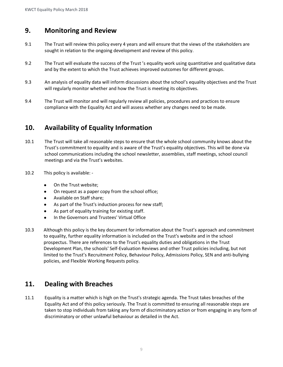## **9. Monitoring and Review**

- 9.1 The Trust will review this policy every 4 years and will ensure that the views of the stakeholders are sought in relation to the ongoing development and review of this policy.
- 9.2 The Trust will evaluate the success of the Trust 's equality work using quantitative and qualitative data and by the extent to which the Trust achieves improved outcomes for different groups.
- 9.3 An analysis of equality data will inform discussions about the school's equality objectives and the Trust will regularly monitor whether and how the Trust is meeting its objectives.
- 9.4 The Trust will monitor and will regularly review all policies, procedures and practices to ensure compliance with the Equality Act and will assess whether any changes need to be made.

## **10. Availability of Equality Information**

- 10.1 The Trust will take all reasonable steps to ensure that the whole school community knows about the Trust's commitment to equality and is aware of the Trust's equality objectives. This will be done via school communications including the school newsletter, assemblies, staff meetings, school council meetings and via the Trust's websites.
- 10.2 This policy is available:
	- On the Trust website;
	- On request as a paper copy from the school office;
	- Available on Staff share;
	- As part of the Trust's induction process for new staff;
	- As part of equality training for existing staff.
	- In the Governors and Trustees' Virtual Office
- 10.3 Although this policy is the key document for information about the Trust's approach and commitment to equality, further equality information is included on the Trust's website and in the school prospectus. There are references to the Trust's equality duties and obligations in the Trust Development Plan, the schools' Self-Evaluation Reviews and other Trust policies including, but not limited to the Trust's Recruitment Policy, Behaviour Policy, Admissions Policy, SEN and anti-bullying policies, and Flexible Working Requests policy.

## **11. Dealing with Breaches**

11.1 Equality is a matter which is high on the Trust's strategic agenda. The Trust takes breaches of the Equality Act and of this policy seriously. The Trust is committed to ensuring all reasonable steps are taken to stop individuals from taking any form of discriminatory action or from engaging in any form of discriminatory or other unlawful behaviour as detailed in the Act.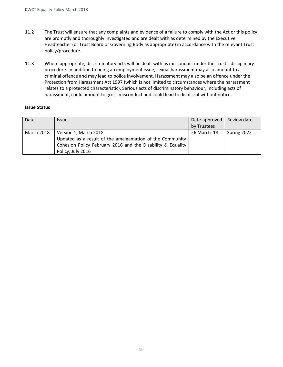- 11.2 The Trust will ensure that any complaints and evidence of a failure to comply with the Act or this policy are promptly and thoroughly investigated and are dealt with as determined by the Executive Headteacher (or Trust Board or Governing Body as appropriate) in accordance with the relevant Trust policy/procedure.
- 11.3 Where appropriate, discriminatory acts will be dealt with as misconduct under the Trust's disciplinary procedure. In addition to being an employment issue, sexual harassment may also amount to a criminal offence and may lead to police involvement. Harassment may also be an offence under the Protection from Harassment Act 1997 (which is not limited to circumstances where the harassment relates to a protected characteristic). Serious acts of discriminatory behaviour, including acts of harassment, could amount to gross misconduct and could lead to dismissal without notice.

#### **Issue Status**

| Date              | <b>Issue</b>                                                                                                                                                          | Date approved<br>by Trustees | Review date |
|-------------------|-----------------------------------------------------------------------------------------------------------------------------------------------------------------------|------------------------------|-------------|
| <b>March 2018</b> | Version 1, March 2018<br>Updated as a result of the amalgamation of the Community<br>Cohesion Policy February 2016 and the Disability & Equality<br>Policy, July 2016 | 26 March 18                  | Spring 2022 |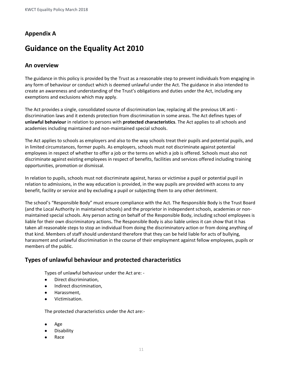## **Appendix A**

# **Guidance on the Equality Act 2010**

#### **An overview**

The guidance in this policy is provided by the Trust as a reasonable step to prevent individuals from engaging in any form of behaviour or conduct which is deemed unlawful under the Act. The guidance in also intended to create an awareness and understanding of the Trust's obligations and duties under the Act, including any exemptions and exclusions which may apply.

The Act provides a single, consolidated source of discrimination law, replacing all the previous UK anti discrimination laws and it extends protection from discrimination in some areas. The Act defines types of **unlawful behaviour** in relation to persons with **protected characteristics**. The Act applies to all schools and academies including maintained and non-maintained special schools.

The Act applies to schools as employers and also to the way schools treat their pupils and potential pupils, and in limited circumstances, former pupils. As employers, schools must not discriminate against potential employees in respect of whether to offer a job or the terms on which a job is offered. Schools must also not discriminate against existing employees in respect of benefits, facilities and services offered including training opportunities, promotion or dismissal.

In relation to pupils, schools must not discriminate against, harass or victimise a pupil or potential pupil in relation to admissions, in the way education is provided, in the way pupils are provided with access to any benefit, facility or service and by excluding a pupil or subjecting them to any other detriment.

The school's "Responsible Body" must ensure compliance with the Act. The Responsible Body is the Trust Board (and the Local Authority in maintained schools) and the proprietor in independent schools, academies or nonmaintained special schools. Any person acting on behalf of the Responsible Body, including school employees is liable for their own discriminatory actions**.** The Responsible Body is also liable unless it can show that it has taken all reasonable steps to stop an individual from doing the discriminatory action or from doing anything of that kind. Members of staff should understand therefore that they can be held liable for acts of bullying, harassment and unlawful discrimination in the course of their employment against fellow employees, pupils or members of the public.

#### **Types of unlawful behaviour and protected characteristics**

Types of unlawful behaviour under the Act are: -

- Direct discrimination,
- Indirect discrimination,
- Harassment,
- Victimisation.

The protected characteristics under the Act are:-

- Age
- Disability
- Race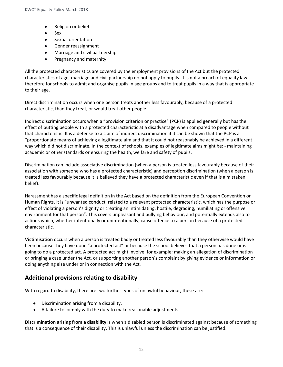- Religion or belief
- Sex
- Sexual orientation
- Gender reassignment
- Marriage and civil partnership
- Pregnancy and maternity

All the protected characteristics are covered by the employment provisions of the Act but the protected characteristics of age, marriage and civil partnership do not apply to pupils. It is not a breach of equality law therefore for schools to admit and organise pupils in age groups and to treat pupils in a way that is appropriate to their age.

Direct discrimination occurs when one person treats another less favourably, because of a protected characteristic, than they treat, or would treat other people.

Indirect discrimination occurs when a "provision criterion or practice" (PCP) is applied generally but has the effect of putting people with a protected characteristic at a disadvantage when compared to people without that characteristic. It is a defense to a claim of indirect discrimination if it can be shown that the PCP is a "proportionate means of achieving a legitimate aim and that it could not reasonably be achieved in a different way which did not discriminate. In the context of schools, examples of legitimate aims might be: - maintaining academic or other standards or ensuring the health, welfare and safety of pupils.

Discrimination can include associative discrimination (when a person is treated less favourably because of their association with someone who has a protected characteristic) and perception discrimination (when a person is treated less favourably because it is believed they have a protected characteristic even if that is a mistaken belief).

Harassment has a specific legal definition in the Act based on the definition from the European Convention on Human Rights. It is "unwanted conduct, related to a relevant protected characteristic, which has the purpose or effect of violating a person's dignity or creating an intimidating, hostile, degrading, humiliating or offensive environment for that person". This covers unpleasant and bullying behaviour, and potentially extends also to actions which, whether intentionally or unintentionally, cause offence to a person because of a protected characteristic.

**Victimisation** occurs when a person is treated badly or treated less favourably than they otherwise would have been because they have done "a protected act" or because the school believes that a person has done or is going to do a protected act. A protected act might involve, for example; making an allegation of discrimination or bringing a case under the Act, or supporting another person's complaint by giving evidence or information or doing anything else under or in connection with the Act.

#### **Additional provisions relating to disability**

With regard to disability, there are two further types of unlawful behaviour, these are:-

- Discrimination arising from a disability,
- A failure to comply with the duty to make reasonable adjustments.

**Discrimination arising from a disability** is when a disabled person is discriminated against because of something that is a consequence of their disability. This is unlawful unless the discrimination can be justified.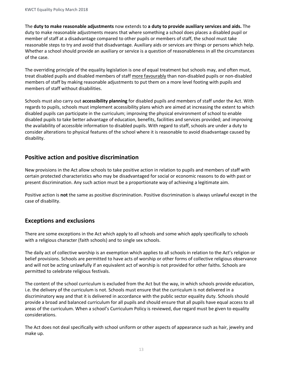The **duty to make reasonable adjustments** now extends to **a duty to provide auxiliary services and aids.** The duty to make reasonable adjustments means that where something a school does places a disabled pupil or member of staff at a disadvantage compared to other pupils or members of staff, the school must take reasonable steps to try and avoid that disadvantage. Auxiliary aids or services are things or persons which help. Whether a school should provide an auxiliary or service is a question of reasonableness in all the circumstances of the case.

The overriding principle of the equality legislation is one of equal treatment but schools may, and often must, treat disabled pupils and disabled members of staff more favourably than non-disabled pupils or non-disabled members of staff by making reasonable adjustments to put them on a more level footing with pupils and members of staff without disabilities.

Schools must also carry out **accessibility planning** for disabled pupils and members of staff under the Act. With regards to pupils, schools must implement accessibility plans which are aimed at increasing the extent to which disabled pupils can participate in the curriculum; improving the physical environment of school to enable disabled pupils to take better advantage of education, benefits, facilities and services provided; and improving the availability of accessible information to disabled pupils. With regard to staff, schools are under a duty to consider alterations to physical features of the school where it is reasonable to avoid disadvantage caused by disability.

#### **Positive action and positive discrimination**

New provisions in the Act allow schools to take positive action in relation to pupils and members of staff with certain protected characteristics who may be disadvantaged for social or economic reasons to do with past or present discrimination. Any such action must be a proportionate way of achieving a legitimate aim.

Positive action is **not** the same as positive discrimination. Positive discrimination is always unlawful except in the case of disability.

#### **Exceptions and exclusions**

There are some exceptions in the Act which apply to all schools and some which apply specifically to schools with a religious character (faith schools) and to single sex schools.

The daily act of collective worship is an exemption which applies to all schools in relation to the Act's religion or belief provisions. Schools are permitted to have acts of worship or other forms of collective religious observance and will not be acting unlawfully if an equivalent act of worship is not provided for other faiths. Schools are permitted to celebrate religious festivals.

The content of the school curriculum is excluded from the Act but the way, in which schools provide education, i.e. the delivery of the curriculum is not. Schools must ensure that the curriculum is not delivered in a discriminatory way and that it is delivered in accordance with the public sector equality duty. Schools should provide a broad and balanced curriculum for all pupils and should ensure that all pupils have equal access to all areas of the curriculum. When a school's Curriculum Policy is reviewed, due regard must be given to equality considerations.

The Act does not deal specifically with school uniform or other aspects of appearance such as hair, jewelry and make up.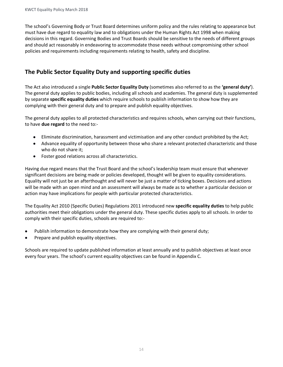The school's Governing Body or Trust Board determines uniform policy and the rules relating to appearance but must have due regard to equality law and to obligations under the Human Rights Act 1998 when making decisions in this regard. Governing Bodies and Trust Boards should be sensitive to the needs of different groups and should act reasonably in endeavoring to accommodate those needs without compromising other school policies and requirements including requirements relating to health, safety and discipline.

## **The Public Sector Equality Duty and supporting specific duties**

The Act also introduced a single **Public Sector Equality Duty** (sometimes also referred to as the **'general duty'**). The general duty applies to public bodies, including all schools and academies. The general duty is supplemented by separate **specific equality duties** which require schools to publish information to show how they are complying with their general duty and to prepare and publish equality objectives.

The general duty applies to all protected characteristics and requires schools, when carrying out their functions, to have **due regard** to the need to:-

- Eliminate discrimination, harassment and victimisation and any other conduct prohibited by the Act;
- Advance equality of opportunity between those who share a relevant protected characteristic and those who do not share it;
- Foster good relations across all characteristics.

Having due regard means that the Trust Board and the school's leadership team must ensure that whenever significant decisions are being made or policies developed, thought will be given to equality considerations. Equality will not just be an afterthought and will never be just a matter of ticking boxes. Decisions and actions will be made with an open mind and an assessment will always be made as to whether a particular decision or action may have implications for people with particular protected characteristics.

The Equality Act 2010 (Specific Duties) Regulations 2011 introduced new **specific equality duties** to help public authorities meet their obligations under the general duty. These specific duties apply to all schools. In order to comply with their specific duties, schools are required to:-

- Publish information to demonstrate how they are complying with their general duty;
- Prepare and publish equality objectives.

Schools are required to update published information at least annually and to publish objectives at least once every four years. The school's current equality objectives can be found in Appendix C.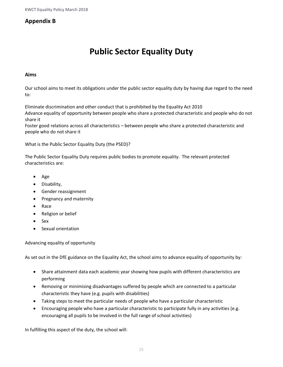#### **Appendix B**

# **Public Sector Equality Duty**

#### **Aims**

Our school aims to meet its obligations under the public sector equality duty by having due regard to the need to:

Eliminate discrimination and other conduct that is prohibited by the Equality Act 2010

Advance equality of opportunity between people who share a protected characteristic and people who do not share it

Foster good relations across all characteristics – between people who share a protected characteristic and people who do not share it

What is the Public Sector Equality Duty (the PSED)?

The Public Sector Equality Duty requires public bodies to promote equality. The relevant protected characteristics are:

- Age
- Disability,
- Gender reassignment
- Pregnancy and maternity
- Race
- Religion or belief
- Sex
- Sexual orientation

Advancing equality of opportunity

As set out in the DfE guidance on the Equality Act, the school aims to advance equality of opportunity by:

- Share attainment data each academic year showing how pupils with different characteristics are performing
- Removing or minimising disadvantages suffered by people which are connected to a particular characteristic they have (e.g. pupils with disabilities)
- Taking steps to meet the particular needs of people who have a particular characteristic
- Encouraging people who have a particular characteristic to participate fully in any activities (e.g. encouraging all pupils to be involved in the full range of school activities)

In fulfilling this aspect of the duty, the school will: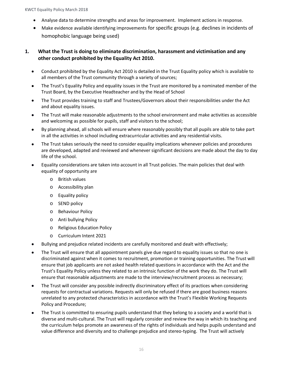- Analyse data to determine strengths and areas for improvement. Implement actions in response.
- Make evidence available identifying improvements for specific groups (e.g. declines in incidents of homophobic language being used)

#### **1. What the Trust is doing to eliminate discrimination, harassment and victimisation and any other conduct prohibited by the Equality Act 2010.**

- Conduct prohibited by the Equality Act 2010 is detailed in the Trust Equality policy which is available to all members of the Trust community through a variety of sources;
- The Trust's Equality Policy and equality issues in the Trust are monitored by a nominated member of the Trust Board, by the Executive Headteacher and by the Head of School
- The Trust provides training to staff and Trustees/Governors about their responsibilities under the Act and about equality issues.
- The Trust will make reasonable adjustments to the school environment and make activities as accessible and welcoming as possible for pupils, staff and visitors to the school;
- By planning ahead, all schools will ensure where reasonably possibly that all pupils are able to take part in all the activities in school including extracurricular activities and any residential visits.
- The Trust takes seriously the need to consider equality implications whenever policies and procedures are developed, adapted and reviewed and whenever significant decisions are made about the day to day life of the school.
- Equality considerations are taken into account in all Trust policies. The main policies that deal with equality of opportunity are
	- o British values
	- o Accessibility plan
	- o Equality policy
	- o SEND policy
	- o Behaviour Policy
	- o Anti bullying Policy
	- o Religious Education Policy
	- o Curriculum Intent 2021
- Bullying and prejudice related incidents are carefully monitored and dealt with effectively;
- The Trust will ensure that all appointment panels give due regard to equality issues so that no one is discriminated against when it comes to recruitment, promotion or training opportunities. The Trust will ensure that job applicants are not asked health related questions in accordance with the Act and the Trust's Equality Policy unless they related to an intrinsic function of the work they do. The Trust will ensure that reasonable adjustments are made to the interview/recruitment process as necessary;
- The Trust will consider any possible indirectly discriminatory effect of its practices when considering requests for contractual variations. Requests will only be refused if there are good business reasons unrelated to any protected characteristics in accordance with the Trust's Flexible Working Requests Policy and Procedure;
- The Trust is committed to ensuring pupils understand that they belong to a society and a world that is diverse and multi-cultural. The Trust will regularly consider and review the way in which its teaching and the curriculum helps promote an awareness of the rights of individuals and helps pupils understand and value difference and diversity and to challenge prejudice and stereo-typing. The Trust will actively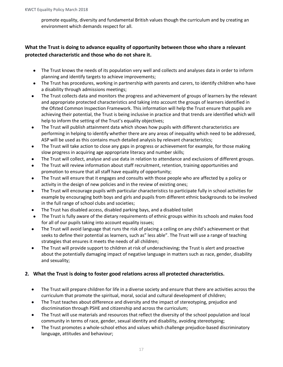promote equality, diversity and fundamental British values though the curriculum and by creating an environment which demands respect for all.

#### **What the Trust is doing to advance equality of opportunity between those who share a relevant protected characteristic and those who do not share it.**

- The Trust knows the needs of its population very well and collects and analyses data in order to inform planning and identify targets to achieve improvements;
- The Trust has procedures, working in partnership with parents and carers, to identify children who have a disability through admissions meetings;
- The Trust collects data and monitors the progress and achievement of groups of learners by the relevant and appropriate protected characteristics and taking into account the groups of learners identified in the Ofsted Common Inspection Framework. This information will help the Trust ensure that pupils are achieving their potential, the Trust is being inclusive in practice and that trends are identified which will help to inform the setting of the Trust's equality objectives;
- The Trust will publish attainment data which shows how pupils with different characteristics are performing in helping to identify whether there are any areas of inequality which need to be addressed, ASP will be used as this contains much detailed analysis by relevant characteristics;
- The Trust will take action to close any gaps in progress or achievement for example, for those making slow progress in acquiring age appropriate literacy and number skills;
- The Trust will collect, analyse and use data in relation to attendance and exclusions of different groups.
- The Trust will review information about staff recruitment, retention, training opportunities and promotion to ensure that all staff have equality of opportunity;
- The Trust will ensure that it engages and consults with those people who are affected by a policy or activity in the design of new policies and in the review of existing ones;
- The Trust will encourage pupils with particular characteristics to participate fully in school activities for example by encouraging both boys and girls and pupils from different ethnic backgrounds to be involved in the full range of school clubs and societies;
- The Trust has disabled access, disabled parking bays, and a disabled toilet
- The Trust is fully aware of the dietary requirements of ethnic groups within its schools and makes food for all of our pupils taking into account equality issues;
- The Trust will avoid language that runs the risk of placing a ceiling on any child's achievement or that seeks to define their potential as learners, such as" less able". The Trust will use a range of teaching strategies that ensures it meets the needs of all children;
- The Trust will provide support to children at risk of underachieving; the Trust is alert and proactive about the potentially damaging impact of negative language in matters such as race, gender, disability and sexuality;

#### **2. What the Trust is doing to foster good relations across all protected characteristics.**

- The Trust will prepare children for life in a diverse society and ensure that there are activities across the curriculum that promote the spiritual, moral, social and cultural development of children;
- The Trust teaches about difference and diversity and the impact of stereotyping, prejudice and discrimination through PSHE and citizenship and across the curriculum;
- The Trust will use materials and resources that reflect the diversity of the school population and local community in terms of race, gender, sexual identity and disability, avoiding stereotyping;
- The Trust promotes a whole-school ethos and values which challenge prejudice-based discriminatory language, attitudes and behaviour;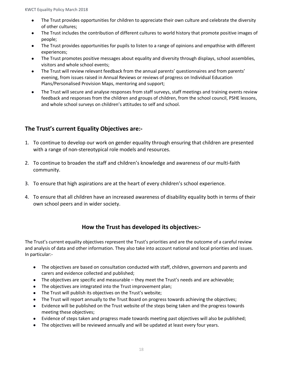- The Trust provides opportunities for children to appreciate their own culture and celebrate the diversity of other cultures;
- The Trust includes the contribution of different cultures to world history that promote positive images of people;
- The Trust provides opportunities for pupils to listen to a range of opinions and empathise with different experiences;
- The Trust promotes positive messages about equality and diversity through displays, school assemblies, visitors and whole school events;
- The Trust will review relevant feedback from the annual parents' questionnaires and from parents' evening, from issues raised in Annual Reviews or reviews of progress on Individual Education Plans/Personalised Provision Maps, mentoring and support;
- The Trust will secure and analyse responses from staff surveys, staff meetings and training events review feedback and responses from the children and groups of children, from the school council, PSHE lessons, and whole school surveys on children's attitudes to self and school.

#### **The Trust's current Equality Objectives are:-**

- 1. To continue to develop our work on gender equality through ensuring that children are presented with a range of non-stereotypical role models and resources.
- 2. To continue to broaden the staff and children's knowledge and awareness of our multi-faith community.
- 3. To ensure that high aspirations are at the heart of every children's school experience.
- 4. To ensure that all children have an increased awareness of disability equality both in terms of their own school peers and in wider society.

#### **How the Trust has developed its objectives:-**

The Trust's current equality objectives represent the Trust's priorities and are the outcome of a careful review and analysis of data and other information. They also take into account national and local priorities and issues. In particular:-

- The objectives are based on consultation conducted with staff, children, governors and parents and carers and evidence collected and published;
- The objectives are specific and measurable they meet the Trust's needs and are achievable;
- The objectives are integrated into the Trust improvement plan;
- The Trust will publish its objectives on the Trust's website;
- The Trust will report annually to the Trust Board on progress towards achieving the objectives;
- Evidence will be published on the Trust website of the steps being taken and the progress towards meeting these objectives;
- Evidence of steps taken and progress made towards meeting past objectives will also be published;
- The objectives will be reviewed annually and will be updated at least every four years.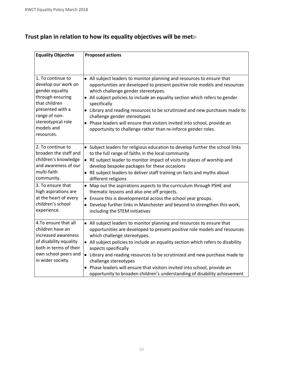# **Trust plan in relation to how its equality objectives will be met:-**

| <b>Equality Objective</b>                                                                                                                                                               | <b>Proposed actions</b>                                                                                                                                                                                                                                                                                                                                                                                                                                                                                                                                          |  |  |  |
|-----------------------------------------------------------------------------------------------------------------------------------------------------------------------------------------|------------------------------------------------------------------------------------------------------------------------------------------------------------------------------------------------------------------------------------------------------------------------------------------------------------------------------------------------------------------------------------------------------------------------------------------------------------------------------------------------------------------------------------------------------------------|--|--|--|
|                                                                                                                                                                                         |                                                                                                                                                                                                                                                                                                                                                                                                                                                                                                                                                                  |  |  |  |
| 1. To continue to<br>develop our work on<br>gender equality<br>through ensuring<br>that children<br>presented with a<br>range of non-<br>stereotypical role<br>models and<br>resources. | • All subject leaders to monitor planning and resources to ensure that<br>opportunities are developed to present positive role models and resources<br>which challenge gender stereotypes.<br>• All subject policies to include an equality section which refers to gender<br>specifically<br>• Library and reading resources to be scrutinized and new purchases made to<br>challenge gender stereotypes<br>• Phase leaders will ensure that visitors invited into school, provide an<br>opportunity to challenge rather than re-inforce gender roles.          |  |  |  |
| 2. To continue to<br>broaden the staff and<br>children's knowledge<br>and awareness of our<br>multi-faith<br>community.                                                                 | • Subject leaders for religious education to develop further the school links<br>to the full range of faiths in the local community<br>• RE subject leader to monitor impact of visits to places of worship and<br>develop bespoke packages for these occasions<br>• RE subject leaders to deliver staff training on facts and myths about<br>different religions                                                                                                                                                                                                |  |  |  |
| 3. To ensure that<br>high aspirations are<br>at the heart of every<br>children's school<br>experience.                                                                                  | • Map out the aspirations aspects to the curriculum through PSHE and<br>thematic lessons and also one off projects.<br>• Ensure this is developmental across the school year groups.<br>• Develop further links in Manchester and beyond to strengthen this work,<br>including the STEM initiatives                                                                                                                                                                                                                                                              |  |  |  |
| 4. To ensure that all<br>children have an<br>increased awareness<br>of disability equality<br>both in terms of their<br>own school peers and<br>in wider society.                       | • All subject leaders to monitor planning and resources to ensure that<br>opportunities are developed to present positive role models and resources<br>which challenge stereotypes.<br>• All subject policies to include an equality section which refers to disability<br>aspects specifically<br>• Library and reading resources to be scrutinized and new purchase made to<br>challenge stereotypes<br>• Phase leaders will ensure that visitors invited into school, provide an<br>opportunity to broaden children's understanding of disability achievement |  |  |  |